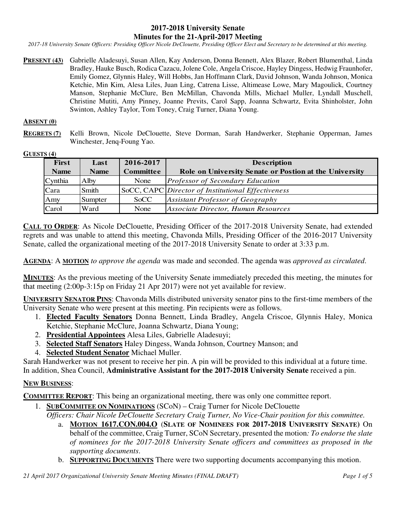# **2017-2018 University Senate Minutes for the 21-April-2017 Meeting**

*2017-18 University Senate Officers: Presiding Officer Nicole DeClouette, Presiding Officer Elect and Secretary to be determined at this meeting.* 

PRESENT (43) Gabrielle Aladesuyi, Susan Allen, Kay Anderson, Donna Bennett, Alex Blazer, Robert Blumenthal, Linda Bradley, Hauke Busch, Rodica Cazacu, Jolene Cole, Angela Criscoe, Hayley Dingess, Hedwig Fraunhofer, Emily Gomez, Glynnis Haley, Will Hobbs, Jan Hoffmann Clark, David Johnson, Wanda Johnson, Monica Ketchie, Min Kim, Alesa Liles, Juan Ling, Catrena Lisse, Altimease Lowe, Mary Magoulick, Courtney Manson, Stephanie McClure, Ben McMillan, Chavonda Mills, Michael Muller, Lyndall Muschell, Christine Mutiti, Amy Pinney, Joanne Previts, Carol Sapp, Joanna Schwartz, Evita Shinholster, John Swinton, Ashley Taylor, Tom Toney, Craig Turner, Diana Young.

#### **ABSENT (0)**

**REGRETS (7)** Kelli Brown, Nicole DeClouette, Steve Dorman, Sarah Handwerker, Stephanie Opperman, James Winchester, Jenq-Foung Yao.

#### **GUESTS (4)**

| <b>First</b> | Last        | 2016-2017        | <b>Description</b>                                     |
|--------------|-------------|------------------|--------------------------------------------------------|
| <b>Name</b>  | <b>Name</b> | <b>Committee</b> | Role on University Senate or Postion at the University |
| Cynthia      | Alby        | None             | <b>Professor of Secondary Education</b>                |
| Cara         | Smith       |                  | SoCC, CAPC Director of Institutional Effectiveness     |
| Amy          | Sumpter     | <b>SoCC</b>      | Assistant Professor of Geography                       |
| Carol        | lWard       | None             | Associate Director, Human Resources                    |

**CALL TO ORDER**: As Nicole DeClouette, Presiding Officer of the 2017-2018 University Senate, had extended regrets and was unable to attend this meeting, Chavonda Mills, Presiding Officer of the 2016-2017 University Senate, called the organizational meeting of the 2017-2018 University Senate to order at 3:33 p.m.

**AGENDA**: A **MOTION** *to approve the agenda* was made and seconded. The agenda was *approved as circulated*.

**MINUTES**: As the previous meeting of the University Senate immediately preceded this meeting, the minutes for that meeting (2:00p-3:15p on Friday 21 Apr 2017) were not yet available for review.

**UNIVERSITY SENATOR PINS**: Chavonda Mills distributed university senator pins to the first-time members of the University Senate who were present at this meeting. Pin recipients were as follows.

- 1. **Elected Faculty Senators** Donna Bennett, Linda Bradley, Angela Criscoe, Glynnis Haley, Monica Ketchie, Stephanie McClure, Joanna Schwartz, Diana Young;
- 2. **Presidential Appointees** Alesa Liles, Gabrielle Aladesuyi;
- 3. **Selected Staff Senators** Haley Dingess, Wanda Johnson, Courtney Manson; and
- 4. **Selected Student Senator** Michael Muller.

Sarah Handwerker was not present to receive her pin. A pin will be provided to this individual at a future time. In addition, Shea Council, **Administrative Assistant for the 2017-2018 University Senate** received a pin.

### **NEW BUSINESS**:

**COMMITTEE REPORT**: This being an organizational meeting, there was only one committee report.

- 1. **SUBCOMMITEE ON NOMINATIONS** (SCoN) Craig Turner for Nicole DeClouette
	- *Officers: Chair Nicole DeClouette Secretary Craig Turner, No Vice-Chair position for this committee.*
		- a. **MOTION 1617.CON.004.O** (**SLATE OF NOMINEES FOR 2017-2018 UNIVERSITY SENATE)** On behalf of the committee, Craig Turner, SCoN Secretary, presented the motion*: To endorse the slate of nominees for the 2017-2018 University Senate officers and committees as proposed in the supporting documents*.
		- b. **SUPPORTING DOCUMENTS** There were two supporting documents accompanying this motion.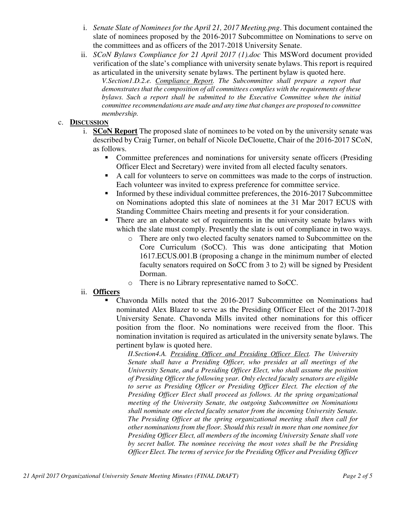- i. *Senate Slate of Nominees for the April 21, 2017 Meeting.png*. This document contained the slate of nominees proposed by the 2016-2017 Subcommittee on Nominations to serve on the committees and as officers of the 2017-2018 University Senate.
- ii. *SCoN Bylaws Compliance for 21 April 2017 (1).doc* This MSWord document provided verification of the slate's compliance with university senate bylaws. This report is required as articulated in the university senate bylaws. The pertinent bylaw is quoted here.

*V.Section1.D.2.e. Compliance Report. The Subcommittee shall prepare a report that demonstrates that the composition of all committees complies with the requirements of these bylaws. Such a report shall be submitted to the Executive Committee when the initial committee recommendations are made and any time that changes are proposed to committee membership.* 

# c. **DISCUSSION**

- i. **SCoN Report** The proposed slate of nominees to be voted on by the university senate was described by Craig Turner, on behalf of Nicole DeClouette, Chair of the 2016-2017 SCoN, as follows.
	- Committee preferences and nominations for university senate officers (Presiding Officer Elect and Secretary) were invited from all elected faculty senators.
	- A call for volunteers to serve on committees was made to the corps of instruction. Each volunteer was invited to express preference for committee service.
	- Informed by these individual committee preferences, the 2016-2017 Subcommittee on Nominations adopted this slate of nominees at the 31 Mar 2017 ECUS with Standing Committee Chairs meeting and presents it for your consideration.
	- There are an elaborate set of requirements in the university senate bylaws with which the slate must comply. Presently the slate is out of compliance in two ways.
		- o There are only two elected faculty senators named to Subcommittee on the Core Curriculum (SoCC). This was done anticipating that Motion 1617.ECUS.001.B (proposing a change in the minimum number of elected faculty senators required on SoCC from 3 to 2) will be signed by President Dorman.
		- o There is no Library representative named to SoCC.

### ii. **Officers**

 Chavonda Mills noted that the 2016-2017 Subcommittee on Nominations had nominated Alex Blazer to serve as the Presiding Officer Elect of the 2017-2018 University Senate. Chavonda Mills invited other nominations for this officer position from the floor. No nominations were received from the floor. This nomination invitation is required as articulated in the university senate bylaws. The pertinent bylaw is quoted here.

*II.Section4.A. Presiding Officer and Presiding Officer Elect. The University Senate shall have a Presiding Officer, who presides at all meetings of the University Senate, and a Presiding Officer Elect, who shall assume the position of Presiding Officer the following year. Only elected faculty senators are eligible to serve as Presiding Officer or Presiding Officer Elect. The election of the Presiding Officer Elect shall proceed as follows. At the spring organizational meeting of the University Senate, the outgoing Subcommittee on Nominations shall nominate one elected faculty senator from the incoming University Senate. The Presiding Officer at the spring organizational meeting shall then call for other nominations from the floor. Should this result in more than one nominee for Presiding Officer Elect, all members of the incoming University Senate shall vote by secret ballot. The nominee receiving the most votes shall be the Presiding Officer Elect. The terms of service for the Presiding Officer and Presiding Officer*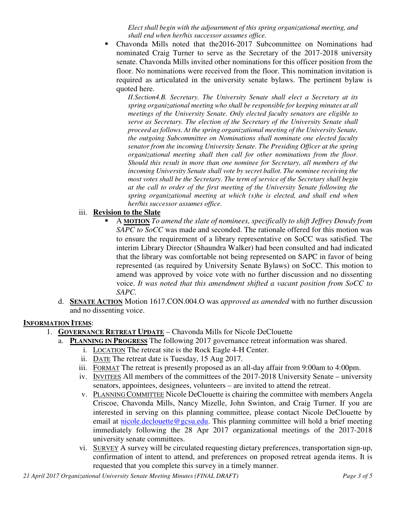*Elect shall begin with the adjournment of this spring organizational meeting, and shall end when her/his successor assumes office.* 

 Chavonda Mills noted that the2016-2017 Subcommittee on Nominations had nominated Craig Turner to serve as the Secretary of the 2017-2018 university senate. Chavonda Mills invited other nominations for this officer position from the floor. No nominations were received from the floor. This nomination invitation is required as articulated in the university senate bylaws. The pertinent bylaw is quoted here.

*II.Section4.B. Secretary. The University Senate shall elect a Secretary at its spring organizational meeting who shall be responsible for keeping minutes at all meetings of the University Senate. Only elected faculty senators are eligible to serve as Secretary. The election of the Secretary of the University Senate shall proceed as follows. At the spring organizational meeting of the University Senate, the outgoing Subcommittee on Nominations shall nominate one elected faculty senator from the incoming University Senate. The Presiding Officer at the spring organizational meeting shall then call for other nominations from the floor. Should this result in more than one nominee for Secretary, all members of the incoming University Senate shall vote by secret ballot. The nominee receiving the most votes shall be the Secretary. The term of service of the Secretary shall begin at the call to order of the first meeting of the University Senate following the spring organizational meeting at which (s)he is elected, and shall end when her/his successor assumes office.* 

# iii. **Revision to the Slate**

- A **MOTION** *To amend the slate of nominees, specifically to shift Jeffrey Dowdy from SAPC to SoCC* was made and seconded. The rationale offered for this motion was to ensure the requirement of a library representative on SoCC was satisfied. The interim Library Director (Shaundra Walker) had been consulted and had indicated that the library was comfortable not being represented on SAPC in favor of being represented (as required by University Senate Bylaws) on SoCC. This motion to amend was approved by voice vote with no further discussion and no dissenting voice. *It was noted that this amendment shifted a vacant position from SoCC to SAPC.*
- d. **SENATE ACTION** Motion 1617.CON.004.O was *approved as amended* with no further discussion and no dissenting voice.

### **INFORMATION ITEMS**:

- 1. **GOVERNANCE RETREAT UPDATE** Chavonda Mills for Nicole DeClouette
	- a. **PLANNING IN PROGRESS** The following 2017 governance retreat information was shared.
		- i. LOCATION The retreat site is the Rock Eagle 4-H Center.
		- ii. DATE The retreat date is Tuesday, 15 Aug 2017.
		- iii. FORMAT The retreat is presently proposed as an all-day affair from 9:00am to 4:00pm.
		- iv. INVITEES All members of the committees of the 2017-2018 University Senate university senators, appointees, designees, volunteers – are invited to attend the retreat.
		- v. PLANNING COMMITTEE Nicole DeClouette is chairing the committee with members Angela Criscoe, Chavonda Mills, Nancy Mizelle, John Swinton, and Craig Turner. If you are interested in serving on this planning committee, please contact Nicole DeClouette by email at nicole.declouette@gcsu.edu. This planning committee will hold a brief meeting immediately following the 28 Apr 2017 organizational meetings of the 2017-2018 university senate committees.
		- vi. SURVEY A survey will be circulated requesting dietary preferences, transportation sign-up, confirmation of intent to attend, and preferences on proposed retreat agenda items. It is requested that you complete this survey in a timely manner.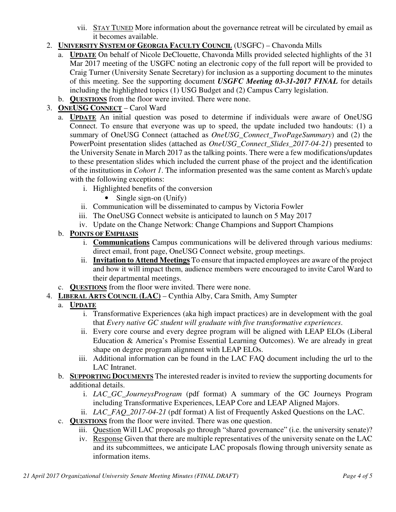- vii. STAY TUNED More information about the governance retreat will be circulated by email as it becomes available.
- 2. **UNIVERSITY SYSTEM OF GEORGIA FACULTY COUNCIL** (USGFC) Chavonda Mills
	- a. **UPDATE** On behalf of Nicole DeClouette, Chavonda Mills provided selected highlights of the 31 Mar 2017 meeting of the USGFC noting an electronic copy of the full report will be provided to Craig Turner (University Senate Secretary) for inclusion as a supporting document to the minutes of this meeting. See the supporting document *USGFC Meeting 03-31-2017 FINAL* for details including the highlighted topics (1) USG Budget and (2) Campus Carry legislation.
	- b. **QUESTIONS** from the floor were invited. There were none.
- 3. **ONEUSG CONNECT** Carol Ward
	- a. **UPDATE** An initial question was posed to determine if individuals were aware of OneUSG Connect. To ensure that everyone was up to speed, the update included two handouts: (1) a summary of OneUSG Connect (attached as *OneUSG\_Connect\_TwoPageSummary*) and (2) the PowerPoint presentation slides (attached as *OneUSG\_Connect\_Slides\_2017-04-21*) presented to the University Senate in March 2017 as the talking points. There were a few modifications/updates to these presentation slides which included the current phase of the project and the identification of the institutions in *Cohort 1*. The information presented was the same content as March's update with the following exceptions:
		- i. Highlighted benefits of the conversion
			- Single sign-on (Unify)
		- ii. Communication will be disseminated to campus by Victoria Fowler
		- iii. The OneUSG Connect website is anticipated to launch on 5 May 2017
		- iv. Update on the Change Network: Change Champions and Support Champions
	- b. **POINTS OF EMPHASIS**
		- i. **Communications** Campus communications will be delivered through various mediums: direct email, front page, OneUSG Connect website, group meetings.
		- ii. **Invitation to Attend Meetings** To ensure that impacted employees are aware of the project and how it will impact them, audience members were encouraged to invite Carol Ward to their departmental meetings.
	- c. **QUESTIONS** from the floor were invited. There were none.
- 4. **LIBERAL ARTS COUNCIL (LAC)** Cynthia Alby, Cara Smith, Amy Sumpter
	- a. **UPDATE**
		- i. Transformative Experiences (aka high impact practices) are in development with the goal that *Every native GC student will graduate with five transformative experiences*.
		- ii. Every core course and every degree program will be aligned with LEAP ELOs (Liberal Education & America's Promise Essential Learning Outcomes). We are already in great shape on degree program alignment with LEAP ELOs.
		- iii. Additional information can be found in the LAC FAQ document including the url to the LAC Intranet.
	- b. **SUPPORTING DOCUMENTS** The interested reader is invited to review the supporting documents for additional details.
		- i. *LAC\_GC\_JourneysProgram* (pdf format) A summary of the GC Journeys Program including Transformative Experiences, LEAP Core and LEAP Aligned Majors.
		- ii. *LAC\_FAQ\_2017-04-21* (pdf format) A list of Frequently Asked Questions on the LAC.
	- c. **QUESTIONS** from the floor were invited. There was one question.
		- iii. Question Will LAC proposals go through "shared governance" (i.e. the university senate)?
		- iv. Response Given that there are multiple representatives of the university senate on the LAC and its subcommittees, we anticipate LAC proposals flowing through university senate as information items.